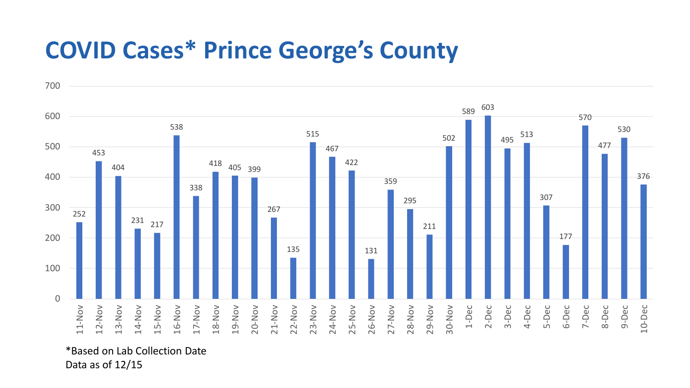## **COVID Cases\* Prince George's County**



\*Based on Lab Collection Date Data as of 12/15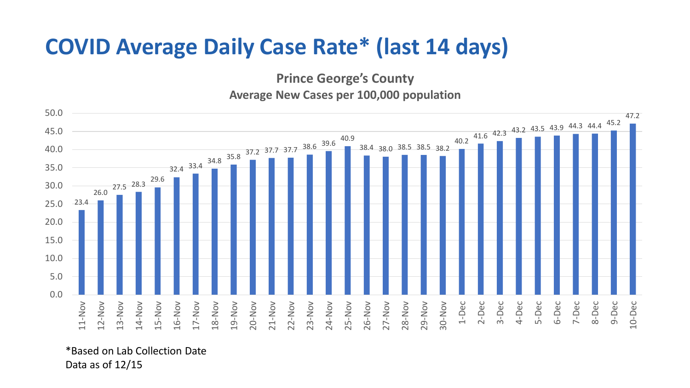## **COVID Average Daily Case Rate\* (last 14 days)**

**Prince George's County**

**Average New Cases per 100,000 population**



\*Based on Lab Collection Date Data as of 12/15